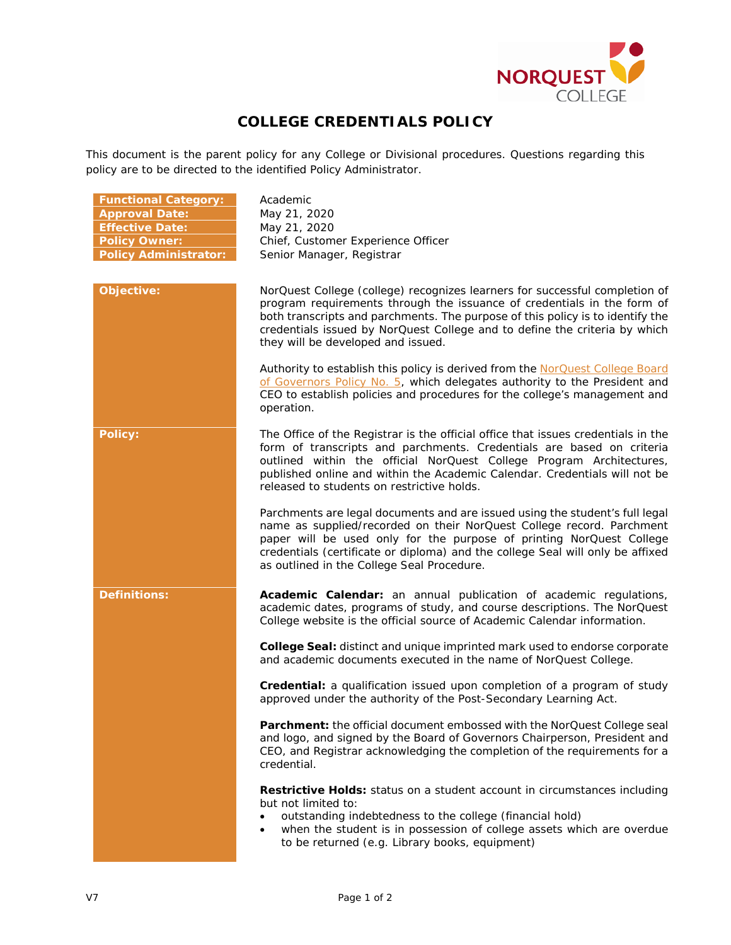

## **COLLEGE CREDENTIALS POLICY**

This document is the parent policy for any College or Divisional procedures. Questions regarding this policy are to be directed to the identified Policy Administrator.

| <b>Functional Category:</b><br><b>Approval Date:</b><br><b>Effective Date:</b><br><b>Policy Owner:</b><br><b>Policy Administrator:</b> | Academic<br>May 21, 2020<br>May 21, 2020<br>Chief, Customer Experience Officer<br>Senior Manager, Registrar                                                                                                                                                                                                                                                    |
|----------------------------------------------------------------------------------------------------------------------------------------|----------------------------------------------------------------------------------------------------------------------------------------------------------------------------------------------------------------------------------------------------------------------------------------------------------------------------------------------------------------|
| Objective:                                                                                                                             | NorQuest College (college) recognizes learners for successful completion of<br>program requirements through the issuance of credentials in the form of<br>both transcripts and parchments. The purpose of this policy is to identify the<br>credentials issued by NorQuest College and to define the criteria by which<br>they will be developed and issued.   |
|                                                                                                                                        | Authority to establish this policy is derived from the NorQuest College Board<br>of Governors Policy No. 5, which delegates authority to the President and<br>CEO to establish policies and procedures for the college's management and<br>operation.                                                                                                          |
| <b>Policy:</b>                                                                                                                         | The Office of the Registrar is the official office that issues credentials in the<br>form of transcripts and parchments. Credentials are based on criteria<br>outlined within the official NorQuest College Program Architectures,<br>published online and within the Academic Calendar. Credentials will not be<br>released to students on restrictive holds. |
|                                                                                                                                        | Parchments are legal documents and are issued using the student's full legal<br>name as supplied/recorded on their NorQuest College record. Parchment<br>paper will be used only for the purpose of printing NorQuest College<br>credentials (certificate or diploma) and the college Seal will only be affixed<br>as outlined in the College Seal Procedure.  |
| <b>Definitions:</b>                                                                                                                    | Academic Calendar: an annual publication of academic regulations,<br>academic dates, programs of study, and course descriptions. The NorQuest<br>College website is the official source of Academic Calendar information.                                                                                                                                      |
|                                                                                                                                        | College Seal: distinct and unique imprinted mark used to endorse corporate<br>and academic documents executed in the name of NorQuest College.                                                                                                                                                                                                                 |
|                                                                                                                                        | <b>Credential:</b> a qualification issued upon completion of a program of study<br>approved under the authority of the Post-Secondary Learning Act.                                                                                                                                                                                                            |
|                                                                                                                                        | Parchment: the official document embossed with the NorQuest College seal<br>and logo, and signed by the Board of Governors Chairperson, President and<br>CEO, and Registrar acknowledging the completion of the requirements for a<br>credential.                                                                                                              |
|                                                                                                                                        | Restrictive Holds: status on a student account in circumstances including<br>but not limited to:<br>outstanding indebtedness to the college (financial hold)<br>٠<br>when the student is in possession of college assets which are overdue<br>$\bullet$<br>to be returned (e.g. Library books, equipment)                                                      |